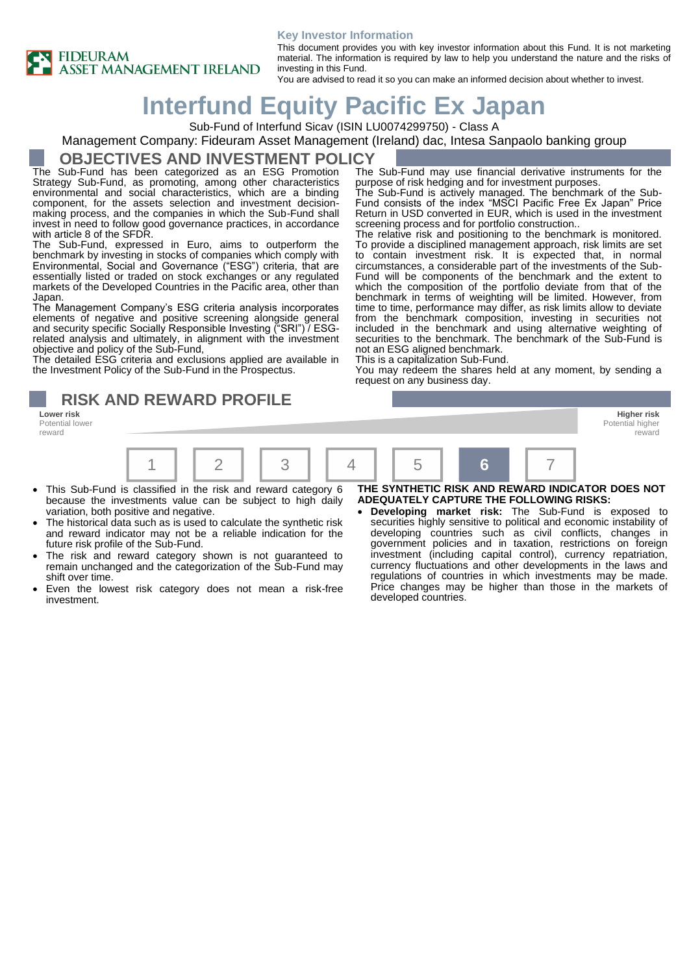



This document provides you with key investor information about this Fund. It is not marketing material. The information is required by law to help you understand the nature and the risks of investing in this Fund.

You are advised to read it so you can make an informed decision about whether to invest.

# **Interfund Equity Pacific Ex Japan**

Sub-Fund of Interfund Sicav (ISIN LU0074299750) - Class A

Management Company: Fideuram Asset Management (Ireland) dac, Intesa Sanpaolo banking group

#### **OBJECTIVES AND INVESTMENT POLICY**

The Sub-Fund has been categorized as an ESG Promotion Strategy Sub-Fund, as promoting, among other characteristics environmental and social characteristics, which are a binding component, for the assets selection and investment decisionmaking process, and the companies in which the Sub-Fund shall invest in need to follow good governance practices, in accordance with article 8 of the SFDR.

The Sub-Fund, expressed in Euro, aims to outperform the benchmark by investing in stocks of companies which comply with Environmental, Social and Governance ("ESG") criteria, that are essentially listed or traded on stock exchanges or any regulated markets of the Developed Countries in the Pacific area, other than Japan.

The Management Company's ESG criteria analysis incorporates elements of negative and positive screening alongside general and security specific Socially Responsible Investing ("SRI") / ESGrelated analysis and ultimately, in alignment with the investment objective and policy of the Sub-Fund,

The detailed ESG criteria and exclusions applied are available in the Investment Policy of the Sub-Fund in the Prospectus.

**RISK AND REWARD PROFILE**

Potential lower reward

The Sub-Fund may use financial derivative instruments for the purpose of risk hedging and for investment purposes.

The Sub-Fund is actively managed. The benchmark of the Sub-Fund consists of the index "MSCI Pacific Free Ex Japan" Price Return in USD converted in EUR, which is used in the investment screening process and for portfolio construction..

The relative risk and positioning to the benchmark is monitored. To provide a disciplined management approach, risk limits are set to contain investment risk. It is expected that, in normal circumstances, a considerable part of the investments of the Sub-Fund will be components of the benchmark and the extent to which the composition of the portfolio deviate from that of the benchmark in terms of weighting will be limited. However, from time to time, performance may differ, as risk limits allow to deviate from the benchmark composition, investing in securities not included in the benchmark and using alternative weighting of securities to the benchmark. The benchmark of the Sub-Fund is not an ESG aligned benchmark.

This is a capitalization Sub-Fund.

You may redeem the shares held at any moment, by sending a request on any business day.





- This Sub-Fund is classified in the risk and reward category 6 because the investments value can be subject to high daily variation, both positive and negative.
- The historical data such as is used to calculate the synthetic risk and reward indicator may not be a reliable indication for the future risk profile of the Sub-Fund.
- The risk and reward category shown is not guaranteed to remain unchanged and the categorization of the Sub-Fund may shift over time.
- Even the lowest risk category does not mean a risk-free investment.

**THE SYNTHETIC RISK AND REWARD INDICATOR DOES NOT ADEQUATELY CAPTURE THE FOLLOWING RISKS:**

• **Developing market risk:** The Sub-Fund is exposed to securities highly sensitive to political and economic instability of developing countries such as civil conflicts, changes in government policies and in taxation, restrictions on foreign investment (including capital control), currency repatriation, currency fluctuations and other developments in the laws and regulations of countries in which investments may be made. Price changes may be higher than those in the markets of developed countries.